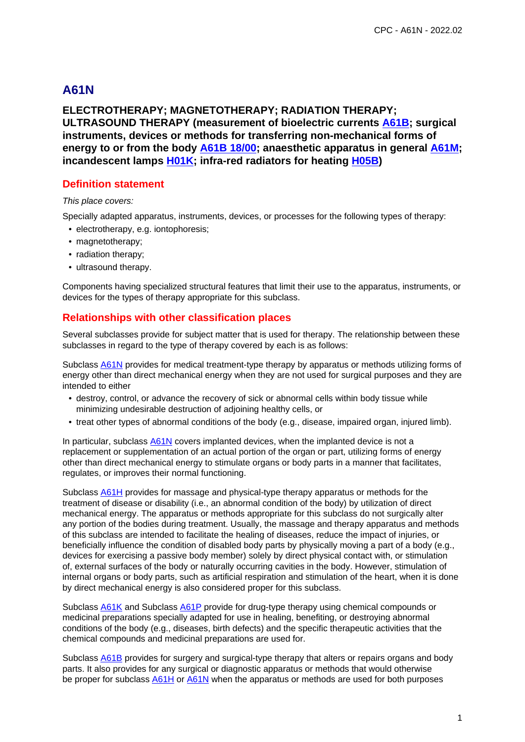# **A61N**

# **ELECTROTHERAPY; MAGNETOTHERAPY; RADIATION THERAPY; ULTRASOUND THERAPY (measurement of bioelectric currents A61B; surgical instruments, devices or methods for transferring non-mechanical forms of energy to or from the body A61B 18/00; anaesthetic apparatus in general A61M; incandescent lamps H01K; infra-red radiators for heating H05B)**

## **Definition statement**

#### This place covers:

Specially adapted apparatus, instruments, devices, or processes for the following types of therapy:

- electrotherapy, e.g. iontophoresis;
- magnetotherapy;
- radiation therapy;
- ultrasound therapy.

Components having specialized structural features that limit their use to the apparatus, instruments, or devices for the types of therapy appropriate for this subclass.

# **Relationships with other classification places**

Several subclasses provide for subject matter that is used for therapy. The relationship between these subclasses in regard to the type of therapy covered by each is as follows:

Subclass A61N provides for medical treatment-type therapy by apparatus or methods utilizing forms of energy other than direct mechanical energy when they are not used for surgical purposes and they are intended to either

- destroy, control, or advance the recovery of sick or abnormal cells within body tissue while minimizing undesirable destruction of adjoining healthy cells, or
- treat other types of abnormal conditions of the body (e.g., disease, impaired organ, injured limb).

In particular, subclass  $A61N$  covers implanted devices, when the implanted device is not a replacement or supplementation of an actual portion of the organ or part, utilizing forms of energy other than direct mechanical energy to stimulate organs or body parts in a manner that facilitates, regulates, or improves their normal functioning.

Subclass A61H provides for massage and physical-type therapy apparatus or methods for the treatment of disease or disability (i.e., an abnormal condition of the body) by utilization of direct mechanical energy. The apparatus or methods appropriate for this subclass do not surgically alter any portion of the bodies during treatment. Usually, the massage and therapy apparatus and methods of this subclass are intended to facilitate the healing of diseases, reduce the impact of injuries, or beneficially influence the condition of disabled body parts by physically moving a part of a body (e.g., devices for exercising a passive body member) solely by direct physical contact with, or stimulation of, external surfaces of the body or naturally occurring cavities in the body. However, stimulation of internal organs or body parts, such as artificial respiration and stimulation of the heart, when it is done by direct mechanical energy is also considered proper for this subclass.

Subclass A61K and Subclass A61P provide for drug-type therapy using chemical compounds or medicinal preparations specially adapted for use in healing, benefiting, or destroying abnormal conditions of the body (e.g., diseases, birth defects) and the specific therapeutic activities that the chemical compounds and medicinal preparations are used for.

Subclass A61B provides for surgery and surgical-type therapy that alters or repairs organs and body parts. It also provides for any surgical or diagnostic apparatus or methods that would otherwise be proper for subclass  $\underline{A61H}$  or  $\underline{A61N}$  when the apparatus or methods are used for both purposes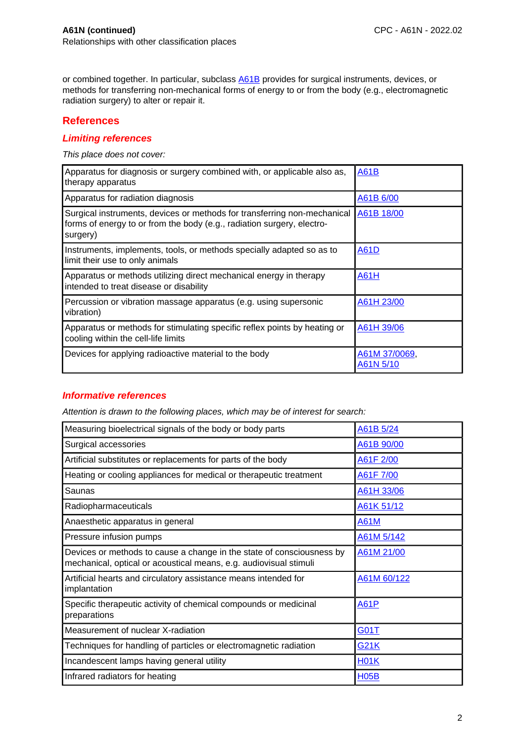or combined together. In particular, subclass A61B provides for surgical instruments, devices, or methods for transferring non-mechanical forms of energy to or from the body (e.g., electromagnetic radiation surgery) to alter or repair it.

### **References**

#### **Limiting references**

This place does not cover:

| Apparatus for diagnosis or surgery combined with, or applicable also as,<br>therapy apparatus                                                                  | <b>A61B</b>                |
|----------------------------------------------------------------------------------------------------------------------------------------------------------------|----------------------------|
| Apparatus for radiation diagnosis                                                                                                                              | A61B 6/00                  |
| Surgical instruments, devices or methods for transferring non-mechanical<br>forms of energy to or from the body (e.g., radiation surgery, electro-<br>surgery) | A61B 18/00                 |
| Instruments, implements, tools, or methods specially adapted so as to<br>limit their use to only animals                                                       | A61D                       |
| Apparatus or methods utilizing direct mechanical energy in therapy<br>intended to treat disease or disability                                                  | A61H                       |
| Percussion or vibration massage apparatus (e.g. using supersonic<br>vibration)                                                                                 | A61H 23/00                 |
| Apparatus or methods for stimulating specific reflex points by heating or<br>cooling within the cell-life limits                                               | A61H 39/06                 |
| Devices for applying radioactive material to the body                                                                                                          | A61M 37/0069,<br>A61N 5/10 |

### **Informative references**

| Measuring bioelectrical signals of the body or body parts                                                                                  | A61B 5/24   |
|--------------------------------------------------------------------------------------------------------------------------------------------|-------------|
| Surgical accessories                                                                                                                       | A61B 90/00  |
| Artificial substitutes or replacements for parts of the body                                                                               | A61F 2/00   |
| Heating or cooling appliances for medical or therapeutic treatment                                                                         | A61F 7/00   |
| Saunas                                                                                                                                     | A61H 33/06  |
| Radiopharmaceuticals                                                                                                                       | A61K 51/12  |
| Anaesthetic apparatus in general                                                                                                           | <b>A61M</b> |
| Pressure infusion pumps                                                                                                                    | A61M 5/142  |
| Devices or methods to cause a change in the state of consciousness by<br>mechanical, optical or acoustical means, e.g. audiovisual stimuli | A61M 21/00  |
| Artificial hearts and circulatory assistance means intended for<br>implantation                                                            | A61M 60/122 |
| Specific therapeutic activity of chemical compounds or medicinal<br>preparations                                                           | <b>A61P</b> |
| Measurement of nuclear X-radiation                                                                                                         | <b>G01T</b> |
| Techniques for handling of particles or electromagnetic radiation                                                                          | <b>G21K</b> |
| Incandescent lamps having general utility                                                                                                  | <b>H01K</b> |
| Infrared radiators for heating                                                                                                             | <b>H05B</b> |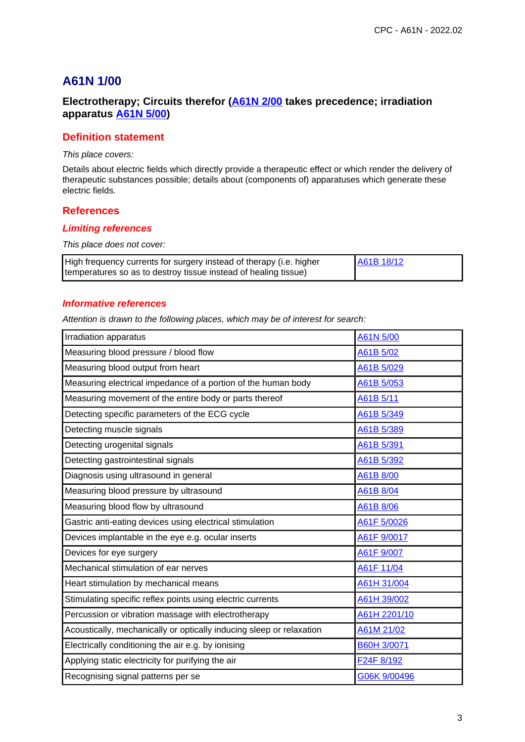# **Electrotherapy; Circuits therefor (A61N 2/00 takes precedence; irradiation apparatus A61N 5/00)**

### **Definition statement**

This place covers:

Details about electric fields which directly provide a therapeutic effect or which render the delivery of therapeutic substances possible; details about (components of) apparatuses which generate these electric fields.

### **References**

#### **Limiting references**

This place does not cover:

| High frequency currents for surgery instead of therapy (i.e. higher | A61B 18/12 |
|---------------------------------------------------------------------|------------|
| temperatures so as to destroy tissue instead of healing tissue)     |            |

#### **Informative references**

| Irradiation apparatus                                                | A61N 5/00          |
|----------------------------------------------------------------------|--------------------|
| Measuring blood pressure / blood flow                                | A61B 5/02          |
| Measuring blood output from heart                                    | A61B 5/029         |
| Measuring electrical impedance of a portion of the human body        | A61B 5/053         |
| Measuring movement of the entire body or parts thereof               | A61B 5/11          |
| Detecting specific parameters of the ECG cycle                       | A61B 5/349         |
| Detecting muscle signals                                             | A61B 5/389         |
| Detecting urogenital signals                                         | A61B 5/391         |
| Detecting gastrointestinal signals                                   | A61B 5/392         |
| Diagnosis using ultrasound in general                                | A61B 8/00          |
| Measuring blood pressure by ultrasound                               | A61B 8/04          |
| Measuring blood flow by ultrasound                                   | A61B 8/06          |
| Gastric anti-eating devices using electrical stimulation             | A61F 5/0026        |
| Devices implantable in the eye e.g. ocular inserts                   | A61F 9/0017        |
| Devices for eye surgery                                              | A61F 9/007         |
| Mechanical stimulation of ear nerves                                 | A61F 11/04         |
| Heart stimulation by mechanical means                                | A61H 31/004        |
| Stimulating specific reflex points using electric currents           | A61H 39/002        |
| Percussion or vibration massage with electrotherapy                  | A61H 2201/10       |
| Acoustically, mechanically or optically inducing sleep or relaxation | A61M 21/02         |
| Electrically conditioning the air e.g. by ionising                   | <b>B60H 3/0071</b> |
| Applying static electricity for purifying the air                    | F24F 8/192         |
| Recognising signal patterns per se                                   | G06K 9/00496       |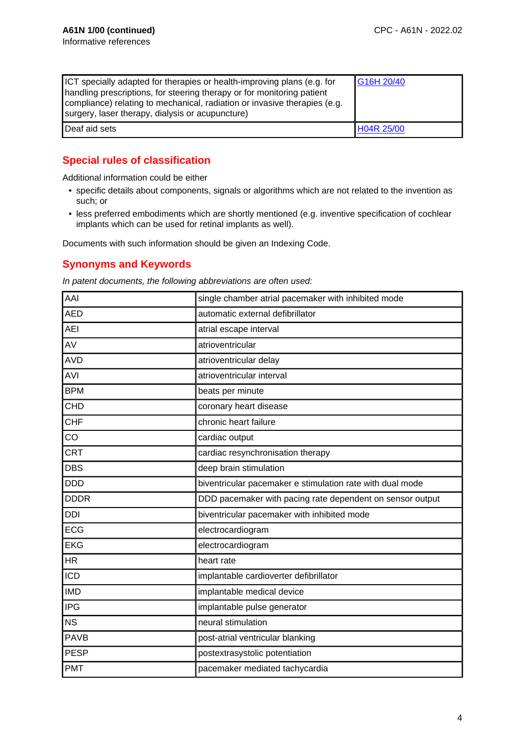| ICT specially adapted for therapies or health-improving plans (e.g. for<br>handling prescriptions, for steering therapy or for monitoring patient<br>compliance) relating to mechanical, radiation or invasive therapies (e.g.<br>surgery, laser therapy, dialysis or acupuncture) | G16H 20/40 |
|------------------------------------------------------------------------------------------------------------------------------------------------------------------------------------------------------------------------------------------------------------------------------------|------------|
| Deaf aid sets                                                                                                                                                                                                                                                                      | H04R 25/00 |

# **Special rules of classification**

Additional information could be either

- specific details about components, signals or algorithms which are not related to the invention as such; or
- less preferred embodiments which are shortly mentioned (e.g. inventive specification of cochlear implants which can be used for retinal implants as well).

Documents with such information should be given an Indexing Code.

# **Synonyms and Keywords**

In patent documents, the following abbreviations are often used:

| AAI         | single chamber atrial pacemaker with inhibited mode       |
|-------------|-----------------------------------------------------------|
| <b>AED</b>  | automatic external defibrillator                          |
| <b>AEI</b>  | atrial escape interval                                    |
| AV          | atrioventricular                                          |
| <b>AVD</b>  | atrioventricular delay                                    |
| <b>AVI</b>  | atrioventricular interval                                 |
| <b>BPM</b>  | beats per minute                                          |
| <b>CHD</b>  | coronary heart disease                                    |
| <b>CHF</b>  | chronic heart failure                                     |
| CO          | cardiac output                                            |
| <b>CRT</b>  | cardiac resynchronisation therapy                         |
| <b>DBS</b>  | deep brain stimulation                                    |
| <b>DDD</b>  | biventricular pacemaker e stimulation rate with dual mode |
| <b>DDDR</b> | DDD pacemaker with pacing rate dependent on sensor output |
| <b>DDI</b>  | biventricular pacemaker with inhibited mode               |
| <b>ECG</b>  | electrocardiogram                                         |
| <b>EKG</b>  | electrocardiogram                                         |
| <b>HR</b>   | heart rate                                                |
| <b>ICD</b>  | implantable cardioverter defibrillator                    |
| <b>IMD</b>  | implantable medical device                                |
| <b>IPG</b>  | implantable pulse generator                               |
| <b>NS</b>   | neural stimulation                                        |
| <b>PAVB</b> | post-atrial ventricular blanking                          |
| <b>PESP</b> | postextrasystolic potentiation                            |
| <b>PMT</b>  | pacemaker mediated tachycardia                            |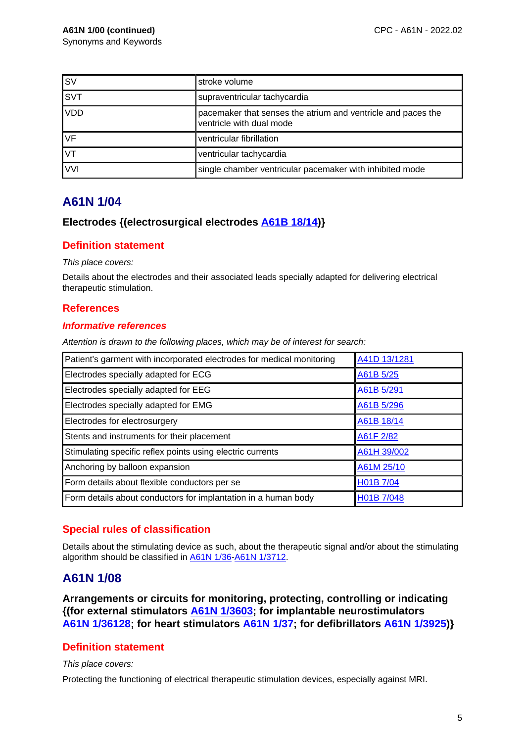| <b>SV</b>               | stroke volume                                                                            |
|-------------------------|------------------------------------------------------------------------------------------|
| $\overline{\text{SVT}}$ | supraventricular tachycardia                                                             |
| VDD                     | pacemaker that senses the atrium and ventricle and paces the<br>ventricle with dual mode |
| <b>VF</b>               | ventricular fibrillation                                                                 |
| <b>IVT</b>              | ventricular tachycardia                                                                  |
| <b>VVI</b>              | single chamber ventricular pacemaker with inhibited mode                                 |

## **Electrodes {(electrosurgical electrodes A61B 18/14)}**

### **Definition statement**

This place covers:

Details about the electrodes and their associated leads specially adapted for delivering electrical therapeutic stimulation.

## **References**

### **Informative references**

Attention is drawn to the following places, which may be of interest for search:

| Patient's garment with incorporated electrodes for medical monitoring | A41D 13/1281 |
|-----------------------------------------------------------------------|--------------|
| Electrodes specially adapted for ECG                                  | A61B 5/25    |
| Electrodes specially adapted for EEG                                  | A61B 5/291   |
| Electrodes specially adapted for EMG                                  | A61B 5/296   |
| Electrodes for electrosurgery                                         | A61B 18/14   |
| Stents and instruments for their placement                            | A61F 2/82    |
| Stimulating specific reflex points using electric currents            | A61H 39/002  |
| Anchoring by balloon expansion                                        | A61M 25/10   |
| Form details about flexible conductors per se                         | H01B 7/04    |
| Form details about conductors for implantation in a human body        | H01B 7/048   |

# **Special rules of classification**

Details about the stimulating device as such, about the therapeutic signal and/or about the stimulating algorithm should be classified in A61N 1/36-A61N 1/3712.

# **A61N 1/08**

**Arrangements or circuits for monitoring, protecting, controlling or indicating {(for external stimulators A61N 1/3603; for implantable neurostimulators A61N 1/36128; for heart stimulators A61N 1/37; for defibrillators A61N 1/3925)}**

# **Definition statement**

This place covers:

Protecting the functioning of electrical therapeutic stimulation devices, especially against MRI.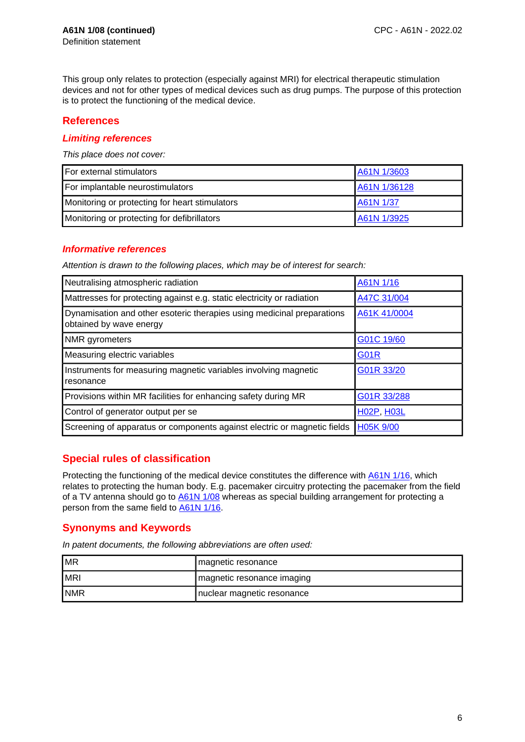This group only relates to protection (especially against MRI) for electrical therapeutic stimulation devices and not for other types of medical devices such as drug pumps. The purpose of this protection is to protect the functioning of the medical device.

# **References**

#### **Limiting references**

This place does not cover:

| For external stimulators                       | A61N 1/3603  |
|------------------------------------------------|--------------|
| For implantable neurostimulators               | A61N 1/36128 |
| Monitoring or protecting for heart stimulators | A61N 1/37    |
| Monitoring or protecting for defibrillators    | A61N 1/3925  |

## **Informative references**

Attention is drawn to the following places, which may be of interest for search:

| Neutralising atmospheric radiation                                                                | A61N 1/16         |
|---------------------------------------------------------------------------------------------------|-------------------|
| Mattresses for protecting against e.g. static electricity or radiation                            | A47C 31/004       |
| Dynamisation and other esoteric therapies using medicinal preparations<br>obtained by wave energy | A61K 41/0004      |
| NMR gyrometers                                                                                    | G01C 19/60        |
| Measuring electric variables                                                                      | <b>G01R</b>       |
| Instruments for measuring magnetic variables involving magnetic<br>resonance                      | G01R 33/20        |
| Provisions within MR facilities for enhancing safety during MR                                    | G01R 33/288       |
| Control of generator output per se                                                                | <b>H02P, H03L</b> |
| Screening of apparatus or components against electric or magnetic fields                          | H05K 9/00         |

# **Special rules of classification**

Protecting the functioning of the medical device constitutes the difference with A61N 1/16, which relates to protecting the human body. E.g. pacemaker circuitry protecting the pacemaker from the field of a TV antenna should go to A61N 1/08 whereas as special building arrangement for protecting a person from the same field to A61N 1/16.

# **Synonyms and Keywords**

In patent documents, the following abbreviations are often used:

| <b>MR</b>   | magnetic resonance         |
|-------------|----------------------------|
| <b>MRI</b>  | magnetic resonance imaging |
| <b>INMR</b> | nuclear magnetic resonance |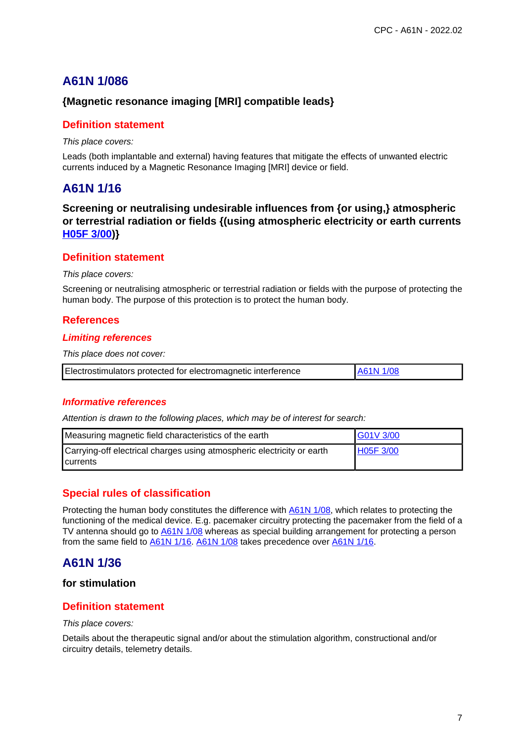# **{Magnetic resonance imaging [MRI] compatible leads}**

### **Definition statement**

This place covers:

Leads (both implantable and external) having features that mitigate the effects of unwanted electric currents induced by a Magnetic Resonance Imaging [MRI] device or field.

# **A61N 1/16**

**Screening or neutralising undesirable influences from {or using,} atmospheric or terrestrial radiation or fields {(using atmospheric electricity or earth currents H05F 3/00)}**

## **Definition statement**

#### This place covers:

Screening or neutralising atmospheric or terrestrial radiation or fields with the purpose of protecting the human body. The purpose of this protection is to protect the human body.

# **References**

### **Limiting references**

This place does not cover:

|  | A61N 1/08<br>Electrostimulators protected for electromagnetic interference |
|--|----------------------------------------------------------------------------|
|--|----------------------------------------------------------------------------|

### **Informative references**

Attention is drawn to the following places, which may be of interest for search:

| Measuring magnetic field characteristics of the earth                                       | G01V 3/00 |
|---------------------------------------------------------------------------------------------|-----------|
| Carrying-off electrical charges using atmospheric electricity or earth<br><b>I</b> currents | H05F 3/00 |

# **Special rules of classification**

Protecting the human body constitutes the difference with A61N 1/08, which relates to protecting the functioning of the medical device. E.g. pacemaker circuitry protecting the pacemaker from the field of a TV antenna should go to A61N 1/08 whereas as special building arrangement for protecting a person from the same field to A61N 1/16. A61N 1/08 takes precedence over A61N 1/16.

# **A61N 1/36**

## **for stimulation**

### **Definition statement**

#### This place covers:

Details about the therapeutic signal and/or about the stimulation algorithm, constructional and/or circuitry details, telemetry details.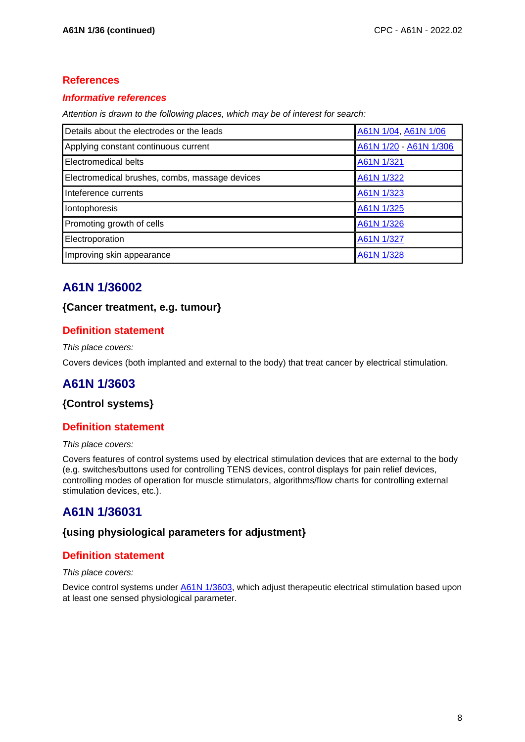# **References**

## **Informative references**

Attention is drawn to the following places, which may be of interest for search:

| Details about the electrodes or the leads      | A61N 1/04, A61N 1/06   |
|------------------------------------------------|------------------------|
| Applying constant continuous current           | A61N 1/20 - A61N 1/306 |
| Electromedical belts                           | A61N 1/321             |
| Electromedical brushes, combs, massage devices | A61N 1/322             |
| Inteference currents                           | A61N 1/323             |
| Iontophoresis                                  | A61N 1/325             |
| Promoting growth of cells                      | A61N 1/326             |
| Electroporation                                | A61N 1/327             |
| Improving skin appearance                      | A61N 1/328             |

# **A61N 1/36002**

# **{Cancer treatment, e.g. tumour}**

# **Definition statement**

#### This place covers:

Covers devices (both implanted and external to the body) that treat cancer by electrical stimulation.

# **A61N 1/3603**

# **{Control systems}**

# **Definition statement**

#### This place covers:

Covers features of control systems used by electrical stimulation devices that are external to the body (e.g. switches/buttons used for controlling TENS devices, control displays for pain relief devices, controlling modes of operation for muscle stimulators, algorithms/flow charts for controlling external stimulation devices, etc.).

# **A61N 1/36031**

# **{using physiological parameters for adjustment}**

# **Definition statement**

#### This place covers:

Device control systems under A61N 1/3603, which adjust therapeutic electrical stimulation based upon at least one sensed physiological parameter.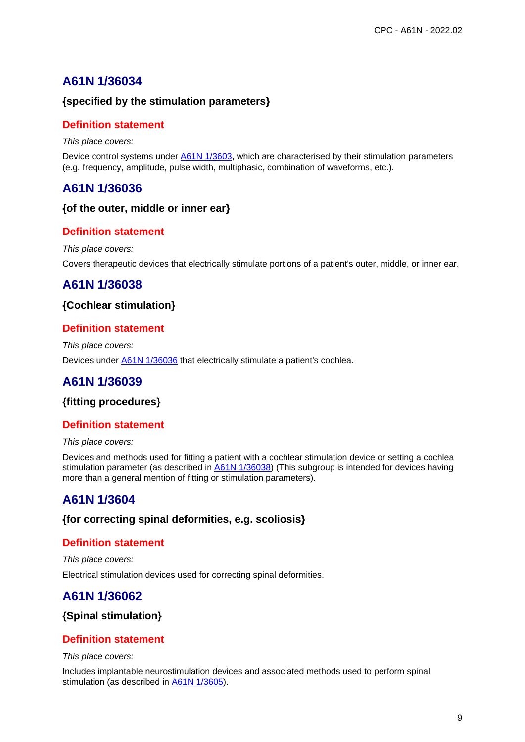# **{specified by the stimulation parameters}**

## **Definition statement**

This place covers:

Device control systems under **A61N 1/3603**, which are characterised by their stimulation parameters (e.g. frequency, amplitude, pulse width, multiphasic, combination of waveforms, etc.).

# **A61N 1/36036**

### **{of the outer, middle or inner ear}**

## **Definition statement**

This place covers:

Covers therapeutic devices that electrically stimulate portions of a patient's outer, middle, or inner ear.

# **A61N 1/36038**

# **{Cochlear stimulation}**

# **Definition statement**

This place covers: Devices under **A61N 1/36036** that electrically stimulate a patient's cochlea.

# **A61N 1/36039**

### **{fitting procedures}**

# **Definition statement**

This place covers:

Devices and methods used for fitting a patient with a cochlear stimulation device or setting a cochlea stimulation parameter (as described in A61N 1/36038) (This subgroup is intended for devices having more than a general mention of fitting or stimulation parameters).

# **A61N 1/3604**

### **{for correcting spinal deformities, e.g. scoliosis}**

# **Definition statement**

This place covers: Electrical stimulation devices used for correcting spinal deformities.

# **A61N 1/36062**

# **{Spinal stimulation}**

# **Definition statement**

This place covers:

Includes implantable neurostimulation devices and associated methods used to perform spinal stimulation (as described in A61N 1/3605).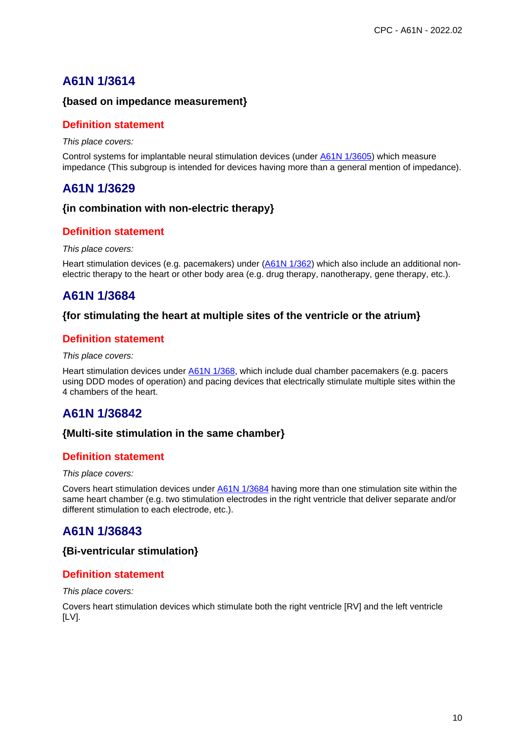### **{based on impedance measurement}**

### **Definition statement**

This place covers:

Control systems for implantable neural stimulation devices (under A61N 1/3605) which measure impedance (This subgroup is intended for devices having more than a general mention of impedance).

# **A61N 1/3629**

### **{in combination with non-electric therapy}**

## **Definition statement**

#### This place covers:

Heart stimulation devices (e.g. pacemakers) under (A61N 1/362) which also include an additional nonelectric therapy to the heart or other body area (e.g. drug therapy, nanotherapy, gene therapy, etc.).

# **A61N 1/3684**

### **{for stimulating the heart at multiple sites of the ventricle or the atrium}**

## **Definition statement**

This place covers:

Heart stimulation devices under A61N 1/368, which include dual chamber pacemakers (e.g. pacers using DDD modes of operation) and pacing devices that electrically stimulate multiple sites within the 4 chambers of the heart.

# **A61N 1/36842**

### **{Multi-site stimulation in the same chamber}**

# **Definition statement**

#### This place covers:

Covers heart stimulation devices under **A61N 1/3684** having more than one stimulation site within the same heart chamber (e.g. two stimulation electrodes in the right ventricle that deliver separate and/or different stimulation to each electrode, etc.).

# **A61N 1/36843**

### **{Bi-ventricular stimulation}**

# **Definition statement**

This place covers:

Covers heart stimulation devices which stimulate both the right ventricle [RV] and the left ventricle [LV].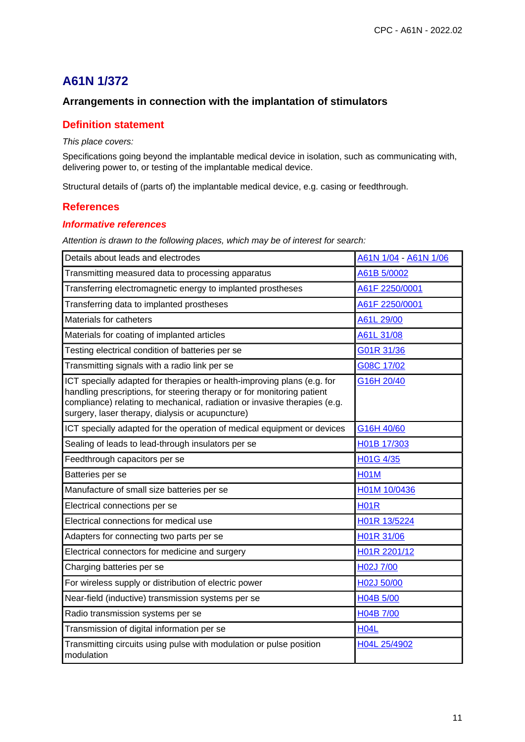# **Arrangements in connection with the implantation of stimulators**

### **Definition statement**

#### This place covers:

Specifications going beyond the implantable medical device in isolation, such as communicating with, delivering power to, or testing of the implantable medical device.

Structural details of (parts of) the implantable medical device, e.g. casing or feedthrough.

### **References**

#### **Informative references**

| Details about leads and electrodes                                                                                                                                                                                                                                                 | A61N 1/04 - A61N 1/06 |
|------------------------------------------------------------------------------------------------------------------------------------------------------------------------------------------------------------------------------------------------------------------------------------|-----------------------|
| Transmitting measured data to processing apparatus                                                                                                                                                                                                                                 | A61B 5/0002           |
| Transferring electromagnetic energy to implanted prostheses                                                                                                                                                                                                                        | A61F 2250/0001        |
| Transferring data to implanted prostheses                                                                                                                                                                                                                                          | A61F 2250/0001        |
| Materials for catheters                                                                                                                                                                                                                                                            | A61L 29/00            |
| Materials for coating of implanted articles                                                                                                                                                                                                                                        | A61L 31/08            |
| Testing electrical condition of batteries per se                                                                                                                                                                                                                                   | G01R 31/36            |
| Transmitting signals with a radio link per se                                                                                                                                                                                                                                      | G08C 17/02            |
| ICT specially adapted for therapies or health-improving plans (e.g. for<br>handling prescriptions, for steering therapy or for monitoring patient<br>compliance) relating to mechanical, radiation or invasive therapies (e.g.<br>surgery, laser therapy, dialysis or acupuncture) | G16H 20/40            |
| ICT specially adapted for the operation of medical equipment or devices                                                                                                                                                                                                            | G16H 40/60            |
| Sealing of leads to lead-through insulators per se                                                                                                                                                                                                                                 | H01B 17/303           |
| Feedthrough capacitors per se                                                                                                                                                                                                                                                      | H01G 4/35             |
| Batteries per se                                                                                                                                                                                                                                                                   | <b>H01M</b>           |
| Manufacture of small size batteries per se                                                                                                                                                                                                                                         | H01M 10/0436          |
| Electrical connections per se                                                                                                                                                                                                                                                      | <b>H01R</b>           |
| Electrical connections for medical use                                                                                                                                                                                                                                             | H01R 13/5224          |
| Adapters for connecting two parts per se                                                                                                                                                                                                                                           | H01R 31/06            |
| Electrical connectors for medicine and surgery                                                                                                                                                                                                                                     | H01R 2201/12          |
| Charging batteries per se                                                                                                                                                                                                                                                          | H02J 7/00             |
| For wireless supply or distribution of electric power                                                                                                                                                                                                                              | H02J 50/00            |
| Near-field (inductive) transmission systems per se                                                                                                                                                                                                                                 | H04B 5/00             |
| Radio transmission systems per se                                                                                                                                                                                                                                                  | H04B 7/00             |
| Transmission of digital information per se                                                                                                                                                                                                                                         | <b>H04L</b>           |
| Transmitting circuits using pulse with modulation or pulse position<br>modulation                                                                                                                                                                                                  | H04L 25/4902          |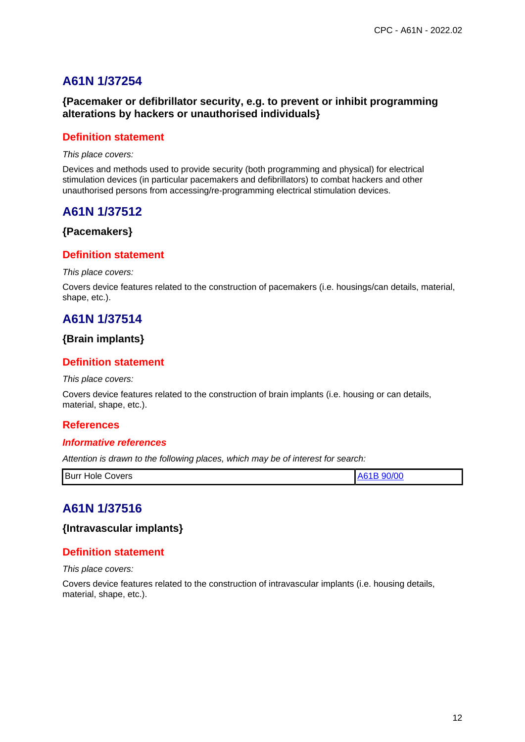# **{Pacemaker or defibrillator security, e.g. to prevent or inhibit programming alterations by hackers or unauthorised individuals}**

### **Definition statement**

This place covers:

Devices and methods used to provide security (both programming and physical) for electrical stimulation devices (in particular pacemakers and defibrillators) to combat hackers and other unauthorised persons from accessing/re-programming electrical stimulation devices.

# **A61N 1/37512**

### **{Pacemakers}**

### **Definition statement**

#### This place covers:

Covers device features related to the construction of pacemakers (i.e. housings/can details, material, shape, etc.).

# **A61N 1/37514**

# **{Brain implants}**

# **Definition statement**

#### This place covers:

Covers device features related to the construction of brain implants (i.e. housing or can details, material, shape, etc.).

# **References**

### **Informative references**

Attention is drawn to the following places, which may be of interest for search:

| Burr Hole 0<br>A61B 90/00<br>Covers |
|-------------------------------------|
|-------------------------------------|

# **A61N 1/37516**

**{Intravascular implants}**

### **Definition statement**

#### This place covers:

Covers device features related to the construction of intravascular implants (i.e. housing details, material, shape, etc.).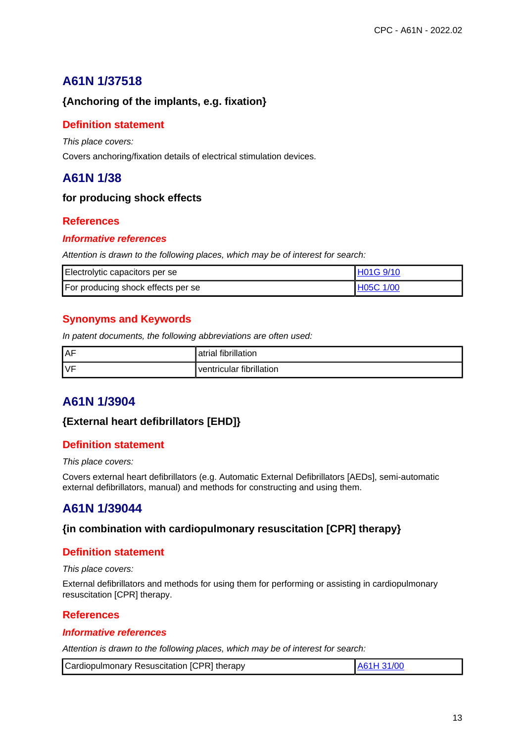# **{Anchoring of the implants, e.g. fixation}**

# **Definition statement**

This place covers:

Covers anchoring/fixation details of electrical stimulation devices.

# **A61N 1/38**

## **for producing shock effects**

# **References**

### **Informative references**

Attention is drawn to the following places, which may be of interest for search:

| Electrolytic capacitors per se     | H01G 9/10        |
|------------------------------------|------------------|
| For producing shock effects per se | <b>H05C 1/00</b> |

# **Synonyms and Keywords**

In patent documents, the following abbreviations are often used:

| <b>AF</b> | atrial fibrillation      |
|-----------|--------------------------|
| <b>VF</b> | ventricular fibrillation |

# **A61N 1/3904**

# **{External heart defibrillators [EHD]}**

### **Definition statement**

#### This place covers:

Covers external heart defibrillators (e.g. Automatic External Defibrillators [AEDs], semi-automatic external defibrillators, manual) and methods for constructing and using them.

# **A61N 1/39044**

# **{in combination with cardiopulmonary resuscitation [CPR] therapy}**

# **Definition statement**

#### This place covers:

External defibrillators and methods for using them for performing or assisting in cardiopulmonary resuscitation [CPR] therapy.

### **References**

#### **Informative references**

| Cardiopulmonary Resuscitation [CPR] therapy | A61H 31/00 |
|---------------------------------------------|------------|
|---------------------------------------------|------------|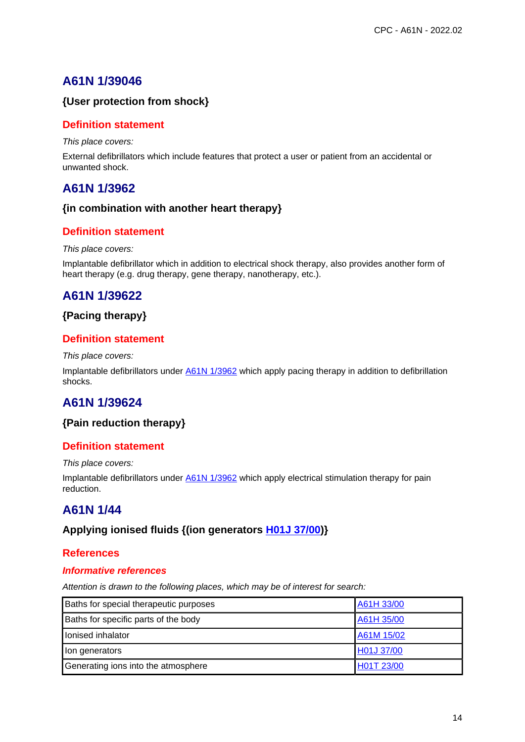# **{User protection from shock}**

## **Definition statement**

This place covers:

External defibrillators which include features that protect a user or patient from an accidental or unwanted shock.

# **A61N 1/3962**

### **{in combination with another heart therapy}**

## **Definition statement**

#### This place covers:

Implantable defibrillator which in addition to electrical shock therapy, also provides another form of heart therapy (e.g. drug therapy, gene therapy, nanotherapy, etc.).

# **A61N 1/39622**

## **{Pacing therapy}**

### **Definition statement**

This place covers:

Implantable defibrillators under A61N 1/3962 which apply pacing therapy in addition to defibrillation shocks.

# **A61N 1/39624**

### **{Pain reduction therapy}**

### **Definition statement**

This place covers:

Implantable defibrillators under A61N 1/3962 which apply electrical stimulation therapy for pain reduction.

# **A61N 1/44**

### **Applying ionised fluids {(ion generators H01J 37/00)}**

### **References**

#### **Informative references**

| Baths for special therapeutic purposes | A61H 33/00 |
|----------------------------------------|------------|
| Baths for specific parts of the body   | A61H 35/00 |
| lonised inhalator                      | A61M 15/02 |
| lon generators                         | H01J 37/00 |
| Generating ions into the atmosphere    | H01T 23/00 |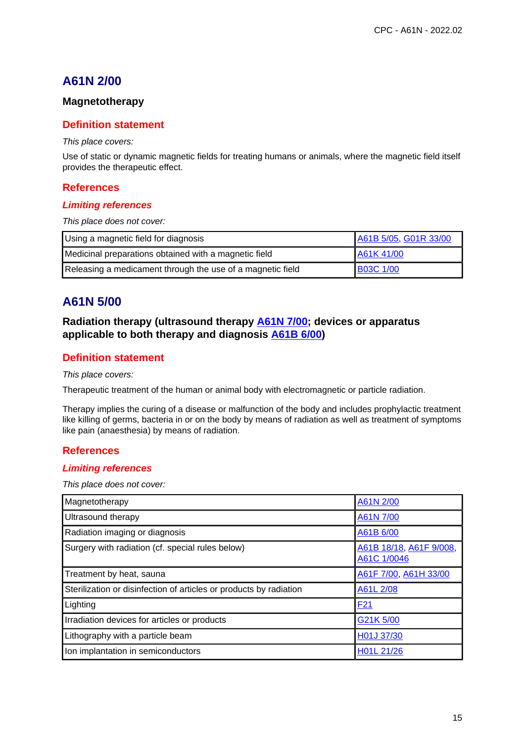# **A61N 2/00**

## **Magnetotherapy**

### **Definition statement**

#### This place covers:

Use of static or dynamic magnetic fields for treating humans or animals, where the magnetic field itself provides the therapeutic effect.

#### **References**

#### **Limiting references**

This place does not cover:

| Using a magnetic field for diagnosis                       | A61B 5/05, G01R 33/00 |
|------------------------------------------------------------|-----------------------|
| Medicinal preparations obtained with a magnetic field      | A61K 41/00            |
| Releasing a medicament through the use of a magnetic field | <b>B03C 1/00</b>      |

# **A61N 5/00**

## **Radiation therapy (ultrasound therapy A61N 7/00; devices or apparatus applicable to both therapy and diagnosis A61B 6/00)**

## **Definition statement**

#### This place covers:

Therapeutic treatment of the human or animal body with electromagnetic or particle radiation.

Therapy implies the curing of a disease or malfunction of the body and includes prophylactic treatment like killing of germs, bacteria in or on the body by means of radiation as well as treatment of symptoms like pain (anaesthesia) by means of radiation.

### **References**

#### **Limiting references**

This place does not cover:

| Magnetotherapy                                                     | A61N 2/00                              |
|--------------------------------------------------------------------|----------------------------------------|
| Ultrasound therapy                                                 | A61N 7/00                              |
| Radiation imaging or diagnosis                                     | A61B 6/00                              |
| Surgery with radiation (cf. special rules below)                   | A61B 18/18, A61F 9/008,<br>A61C 1/0046 |
| Treatment by heat, sauna                                           | A61F 7/00, A61H 33/00                  |
| Sterilization or disinfection of articles or products by radiation | A61L 2/08                              |
| Lighting                                                           | F <sub>21</sub>                        |
| Irradiation devices for articles or products                       | G21K 5/00                              |
| Lithography with a particle beam                                   | H01J 37/30                             |
| Ion implantation in semiconductors                                 | H01L 21/26                             |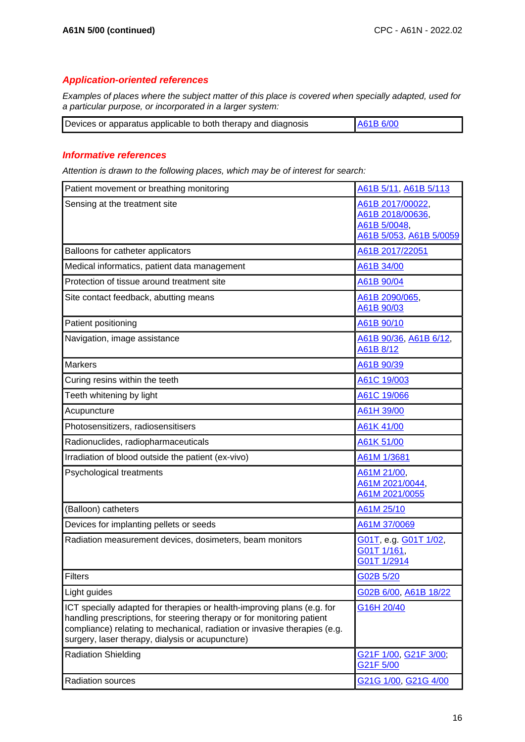#### **Application-oriented references**

Examples of places where the subject matter of this place is covered when specially adapted, used for a particular purpose, or incorporated in a larger system:

| Devices or apparatus applicable to both therapy and diagnosis | A61B 6/00 |
|---------------------------------------------------------------|-----------|
|---------------------------------------------------------------|-----------|

#### **Informative references**

| Patient movement or breathing monitoring                                                                                                                                                                                                                                           | A61B 5/11, A61B 5/113                                                           |
|------------------------------------------------------------------------------------------------------------------------------------------------------------------------------------------------------------------------------------------------------------------------------------|---------------------------------------------------------------------------------|
| Sensing at the treatment site                                                                                                                                                                                                                                                      | A61B 2017/00022,<br>A61B 2018/00636,<br>A61B 5/0048,<br>A61B 5/053, A61B 5/0059 |
| Balloons for catheter applicators                                                                                                                                                                                                                                                  | A61B 2017/22051                                                                 |
| Medical informatics, patient data management                                                                                                                                                                                                                                       | A61B 34/00                                                                      |
| Protection of tissue around treatment site                                                                                                                                                                                                                                         | A61B 90/04                                                                      |
| Site contact feedback, abutting means                                                                                                                                                                                                                                              | A61B 2090/065,<br>A61B 90/03                                                    |
| Patient positioning                                                                                                                                                                                                                                                                | A61B 90/10                                                                      |
| Navigation, image assistance                                                                                                                                                                                                                                                       | A61B 90/36, A61B 6/12,<br>A61B 8/12                                             |
| <b>Markers</b>                                                                                                                                                                                                                                                                     | A61B 90/39                                                                      |
| Curing resins within the teeth                                                                                                                                                                                                                                                     | A61C 19/003                                                                     |
| Teeth whitening by light                                                                                                                                                                                                                                                           | A61C 19/066                                                                     |
| Acupuncture                                                                                                                                                                                                                                                                        | A61H 39/00                                                                      |
| Photosensitizers, radiosensitisers                                                                                                                                                                                                                                                 | A61K 41/00                                                                      |
| Radionuclides, radiopharmaceuticals                                                                                                                                                                                                                                                | A61K 51/00                                                                      |
| Irradiation of blood outside the patient (ex-vivo)                                                                                                                                                                                                                                 | A61M 1/3681                                                                     |
| Psychological treatments                                                                                                                                                                                                                                                           | A61M 21/00,<br>A61M 2021/0044,<br>A61M 2021/0055                                |
| (Balloon) catheters                                                                                                                                                                                                                                                                | A61M 25/10                                                                      |
| Devices for implanting pellets or seeds                                                                                                                                                                                                                                            | A61M 37/0069                                                                    |
| Radiation measurement devices, dosimeters, beam monitors                                                                                                                                                                                                                           | G01T, e.g. G01T 1/02,<br>G01T 1/161,<br>G01T 1/2914                             |
| Filters                                                                                                                                                                                                                                                                            | G02B 5/20                                                                       |
| Light guides                                                                                                                                                                                                                                                                       | G02B 6/00, A61B 18/22                                                           |
| ICT specially adapted for therapies or health-improving plans (e.g. for<br>handling prescriptions, for steering therapy or for monitoring patient<br>compliance) relating to mechanical, radiation or invasive therapies (e.g.<br>surgery, laser therapy, dialysis or acupuncture) | G16H 20/40                                                                      |
| <b>Radiation Shielding</b>                                                                                                                                                                                                                                                         | G21F 1/00, G21F 3/00,<br>G21F 5/00                                              |
| <b>Radiation sources</b>                                                                                                                                                                                                                                                           | G21G 1/00, G21G 4/00                                                            |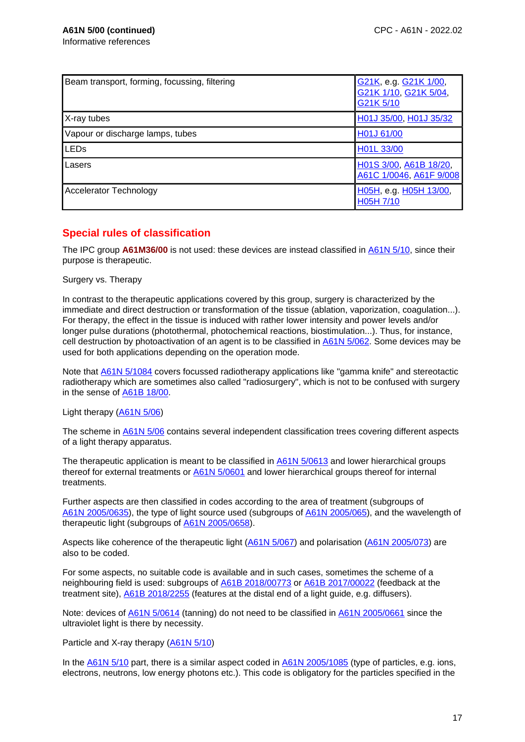| Beam transport, forming, focussing, filtering | G21K, e.g. G21K 1/00,<br>G21K 1/10, G21K 5/04,<br>G21K 5/10 |
|-----------------------------------------------|-------------------------------------------------------------|
| X-ray tubes                                   | H01J 35/00, H01J 35/32                                      |
| Vapour or discharge lamps, tubes              | H01J 61/00                                                  |
| <b>LEDs</b>                                   | H01L 33/00                                                  |
| Lasers                                        | H01S 3/00, A61B 18/20,<br>A61C 1/0046, A61F 9/008           |
| <b>Accelerator Technology</b>                 | H05H, e.g. H05H 13/00,<br>H05H 7/10                         |

# **Special rules of classification**

The IPC group **A61M36/00** is not used: these devices are instead classified in A61N 5/10, since their purpose is therapeutic.

Surgery vs. Therapy

In contrast to the therapeutic applications covered by this group, surgery is characterized by the immediate and direct destruction or transformation of the tissue (ablation, vaporization, coagulation...). For therapy, the effect in the tissue is induced with rather lower intensity and power levels and/or longer pulse durations (photothermal, photochemical reactions, biostimulation...). Thus, for instance, cell destruction by photoactivation of an agent is to be classified in **A61N 5/062**. Some devices may be used for both applications depending on the operation mode.

Note that A61N 5/1084 covers focussed radiotherapy applications like "gamma knife" and stereotactic radiotherapy which are sometimes also called "radiosurgery", which is not to be confused with surgery in the sense of A61B 18/00.

Light therapy (A61N 5/06)

The scheme in A61N 5/06 contains several independent classification trees covering different aspects of a light therapy apparatus.

The therapeutic application is meant to be classified in  $\underline{A61N}$  5/0613 and lower hierarchical groups thereof for external treatments or A61N 5/0601 and lower hierarchical groups thereof for internal treatments.

Further aspects are then classified in codes according to the area of treatment (subgroups of A61N 2005/0635), the type of light source used (subgroups of A61N 2005/065), and the wavelength of therapeutic light (subgroups of A61N 2005/0658).

Aspects like coherence of the therapeutic light (A61N 5/067) and polarisation (A61N 2005/073) are also to be coded.

For some aspects, no suitable code is available and in such cases, sometimes the scheme of a neighbouring field is used: subgroups of A61B 2018/00773 or A61B 2017/00022 (feedback at the treatment site), A61B 2018/2255 (features at the distal end of a light guide, e.g. diffusers).

Note: devices of A61N 5/0614 (tanning) do not need to be classified in A61N 2005/0661 since the ultraviolet light is there by necessity.

Particle and X-ray therapy (A61N 5/10)

In the A61N 5/10 part, there is a similar aspect coded in A61N 2005/1085 (type of particles, e.g. ions, electrons, neutrons, low energy photons etc.). This code is obligatory for the particles specified in the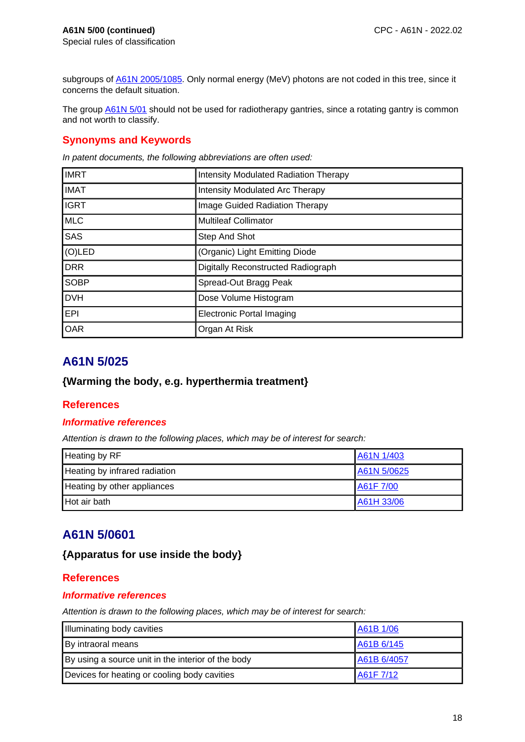subgroups of **A61N 2005/1085**. Only normal energy (MeV) photons are not coded in this tree, since it concerns the default situation.

The group **A61N 5/01** should not be used for radiotherapy gantries, since a rotating gantry is common and not worth to classify.

## **Synonyms and Keywords**

In patent documents, the following abbreviations are often used:

| <b>IMRT</b> | <b>Intensity Modulated Radiation Therapy</b> |
|-------------|----------------------------------------------|
| <b>IMAT</b> | <b>Intensity Modulated Arc Therapy</b>       |
| <b>IGRT</b> | Image Guided Radiation Therapy               |
| <b>MLC</b>  | <b>Multileaf Collimator</b>                  |
| <b>SAS</b>  | Step And Shot                                |
| $(O)$ LED   | (Organic) Light Emitting Diode               |
| <b>DRR</b>  | Digitally Reconstructed Radiograph           |
| <b>SOBP</b> | Spread-Out Bragg Peak                        |
| <b>DVH</b>  | Dose Volume Histogram                        |
| <b>EPI</b>  | <b>Electronic Portal Imaging</b>             |
| <b>OAR</b>  | Organ At Risk                                |

# **A61N 5/025**

# **{Warming the body, e.g. hyperthermia treatment}**

### **References**

#### **Informative references**

Attention is drawn to the following places, which may be of interest for search:

| Heating by RF                 | A61N 1/403  |
|-------------------------------|-------------|
| Heating by infrared radiation | A61N 5/0625 |
| Heating by other appliances   | A61F 7/00   |
| Hot air bath                  | A61H 33/06  |

# **A61N 5/0601**

### **{Apparatus for use inside the body}**

### **References**

#### **Informative references**

| Illuminating body cavities                         | A61B 1/06   |
|----------------------------------------------------|-------------|
| By intraoral means                                 | A61B 6/145  |
| By using a source unit in the interior of the body | A61B 6/4057 |
| Devices for heating or cooling body cavities       | A61F 7/12   |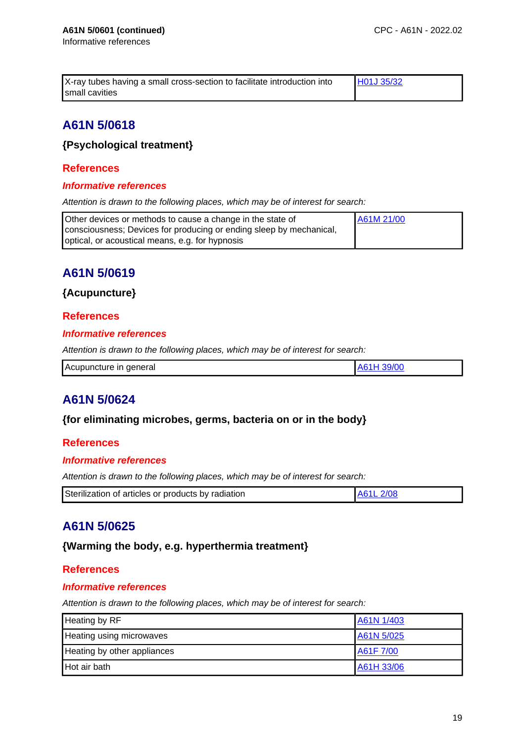| X-ray tubes having a small cross-section to facilitate introduction into | <b>HO1J 35/32</b> |
|--------------------------------------------------------------------------|-------------------|
| small cavities                                                           |                   |

# **A61N 5/0618**

# **{Psychological treatment}**

# **References**

### **Informative references**

Attention is drawn to the following places, which may be of interest for search:

| Other devices or methods to cause a change in the state of          | A61M 21/00 |
|---------------------------------------------------------------------|------------|
| consciousness; Devices for producing or ending sleep by mechanical, |            |
| optical, or acoustical means, e.g. for hypnosis                     |            |

# **A61N 5/0619**

## **{Acupuncture}**

## **References**

### **Informative references**

Attention is drawn to the following places, which may be of interest for search:

| Acupuncture in general |  |
|------------------------|--|
|                        |  |

# **A61N 5/0624**

# **{for eliminating microbes, germs, bacteria on or in the body}**

### **References**

### **Informative references**

Attention is drawn to the following places, which may be of interest for search:

| Sterilization of articles or products by radiation | A61L 2/08 |
|----------------------------------------------------|-----------|
|----------------------------------------------------|-----------|

# **A61N 5/0625**

# **{Warming the body, e.g. hyperthermia treatment}**

### **References**

### **Informative references**

| <b>Heating by RF</b>        | A61N 1/403 |
|-----------------------------|------------|
| Heating using microwaves    | A61N 5/025 |
| Heating by other appliances | A61F 7/00  |
| Hot air bath                | A61H 33/06 |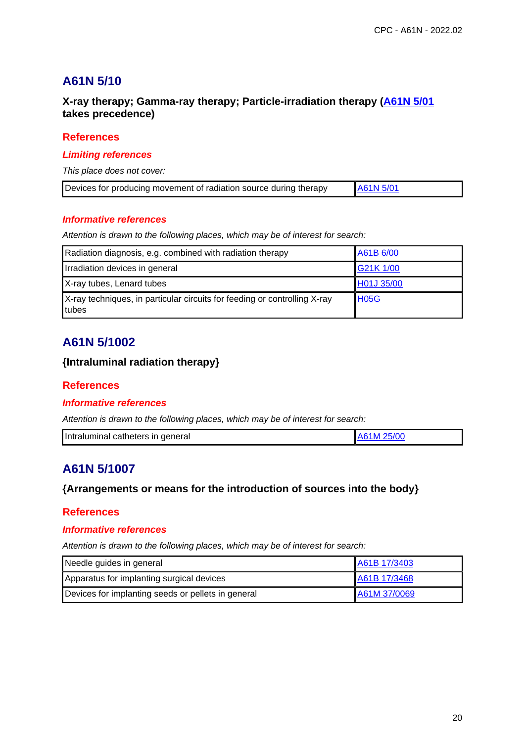# **A61N 5/10**

# **X-ray therapy; Gamma-ray therapy; Particle-irradiation therapy (A61N 5/01 takes precedence)**

### **References**

#### **Limiting references**

This place does not cover:

| Devices for producing movement of radiation source during therapy | A61N 5/01 |
|-------------------------------------------------------------------|-----------|
|-------------------------------------------------------------------|-----------|

### **Informative references**

Attention is drawn to the following places, which may be of interest for search:

| Radiation diagnosis, e.g. combined with radiation therapy                          | A61B 6/00   |
|------------------------------------------------------------------------------------|-------------|
| Irradiation devices in general                                                     | G21K 1/00   |
| X-ray tubes, Lenard tubes                                                          | H01J 35/00  |
| X-ray techniques, in particular circuits for feeding or controlling X-ray<br>tubes | <b>H05G</b> |

# **A61N 5/1002**

## **{Intraluminal radiation therapy}**

### **References**

### **Informative references**

Attention is drawn to the following places, which may be of interest for search:

| Intraluminal catheters in general | LA61M 25/00 |
|-----------------------------------|-------------|

# **A61N 5/1007**

# **{Arrangements or means for the introduction of sources into the body}**

### **References**

### **Informative references**

| Needle guides in general                           | A61B 17/3403 |
|----------------------------------------------------|--------------|
| Apparatus for implanting surgical devices          | A61B 17/3468 |
| Devices for implanting seeds or pellets in general | A61M 37/0069 |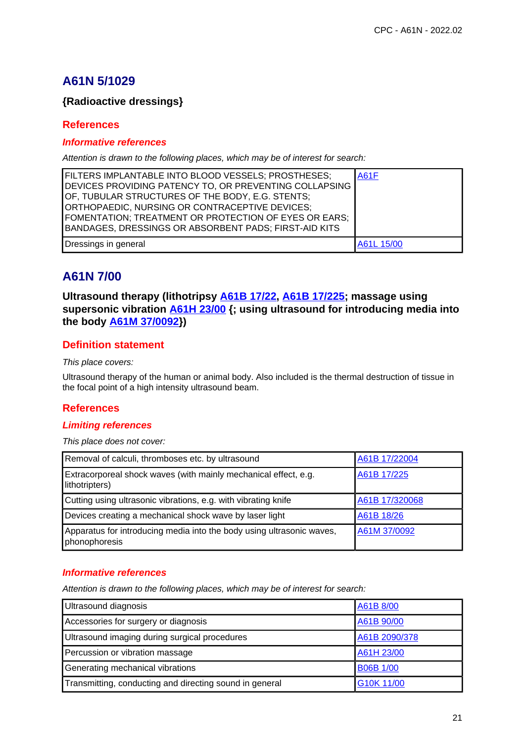# **A61N 5/1029**

# **{Radioactive dressings}**

## **References**

#### **Informative references**

Attention is drawn to the following places, which may be of interest for search:

| FILTERS IMPLANTABLE INTO BLOOD VESSELS; PROSTHESES;<br>DEVICES PROVIDING PATENCY TO, OR PREVENTING COLLAPSING                                               | <b>A61F</b> |
|-------------------------------------------------------------------------------------------------------------------------------------------------------------|-------------|
| OF, TUBULAR STRUCTURES OF THE BODY, E.G. STENTS;<br>ORTHOPAEDIC, NURSING OR CONTRACEPTIVE DEVICES;<br>FOMENTATION; TREATMENT OR PROTECTION OF EYES OR EARS; |             |
| BANDAGES, DRESSINGS OR ABSORBENT PADS; FIRST-AID KITS                                                                                                       |             |
| Dressings in general                                                                                                                                        | A61L 15/00  |

# **A61N 7/00**

**Ultrasound therapy (lithotripsy A61B 17/22, A61B 17/225; massage using supersonic vibration A61H 23/00 {; using ultrasound for introducing media into the body A61M 37/0092})**

## **Definition statement**

This place covers:

Ultrasound therapy of the human or animal body. Also included is the thermal destruction of tissue in the focal point of a high intensity ultrasound beam.

# **References**

### **Limiting references**

This place does not cover:

| Removal of calculi, thromboses etc. by ultrasound                                      | A61B 17/22004  |
|----------------------------------------------------------------------------------------|----------------|
| Extracorporeal shock waves (with mainly mechanical effect, e.g.<br>lithotripters)      | A61B 17/225    |
| Cutting using ultrasonic vibrations, e.g. with vibrating knife                         | A61B 17/320068 |
| Devices creating a mechanical shock wave by laser light                                | A61B 18/26     |
| Apparatus for introducing media into the body using ultrasonic waves,<br>phonophoresis | A61M 37/0092   |

#### **Informative references**

| Ultrasound diagnosis                                    | A61B 8/00        |
|---------------------------------------------------------|------------------|
| Accessories for surgery or diagnosis                    | A61B 90/00       |
| Ultrasound imaging during surgical procedures           | A61B 2090/378    |
| Percussion or vibration massage                         | A61H 23/00       |
| Generating mechanical vibrations                        | <b>B06B 1/00</b> |
| Transmitting, conducting and directing sound in general | G10K 11/00       |